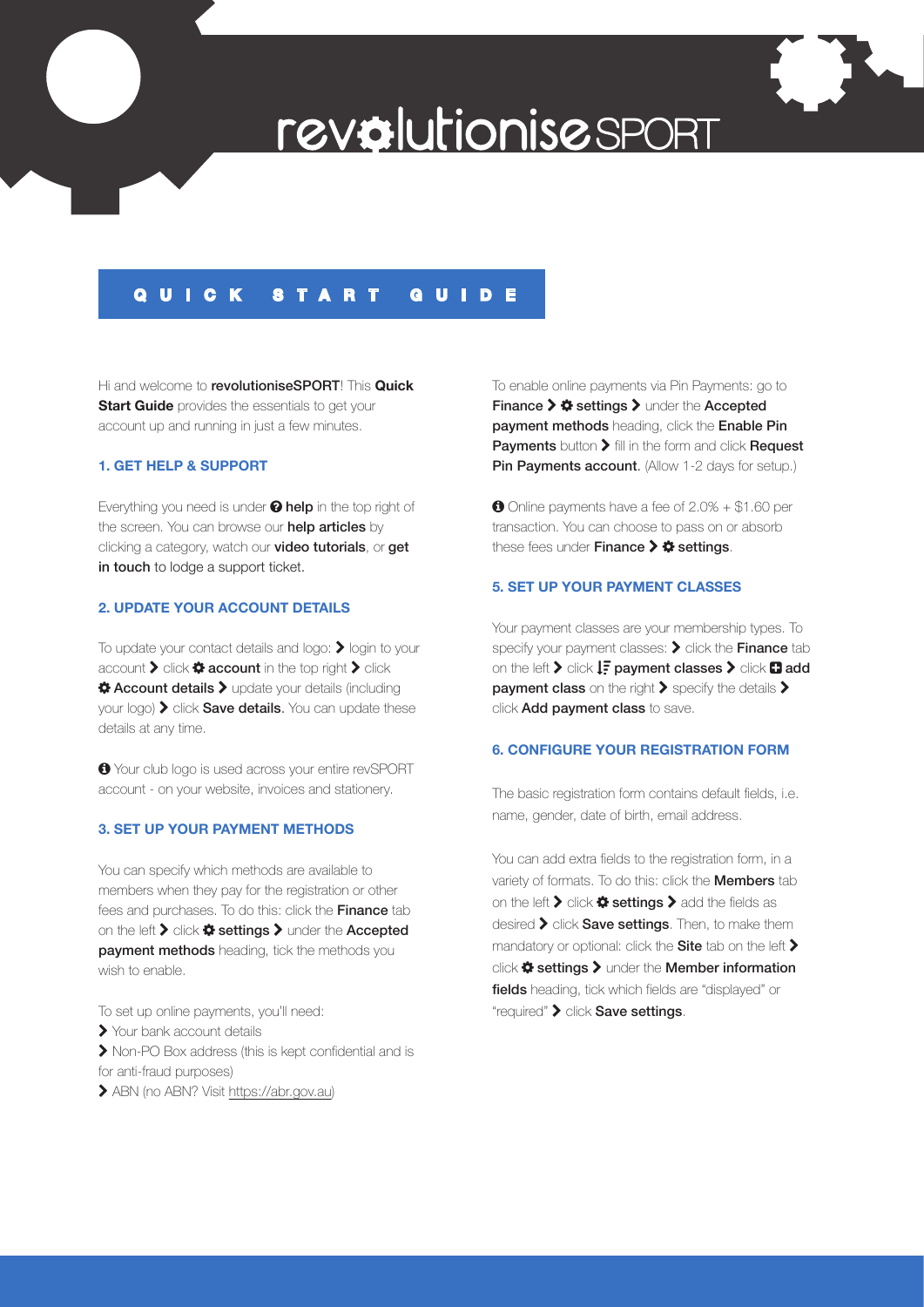

# **QUICK START GUIDE**

Hi and welcome to revolutioniseSPORT! This **Quick Start Guide** provides the essentials to get your account up and running in just a few minutes.

## **1. GET HELP & SUPPORT**

Everything you need is under @ help in the top right of the screen. You can browse our help articles by clicking a category, watch our **video tutorials**, or **get** in touch to lodge a support ticket.

# **2. UPDATE YOUR ACCOUNT DETAILS**

To update your contact details and logo:  $\blacktriangleright$  login to your account  $\blacktriangleright$  click  $\clubsuit$  account in the top right  $\blacktriangleright$  click  $\triangle$  **Account details >** update your details (including  $\gamma$ our logo)  $\blacktriangleright$  click **Save details**. You can update these details at any time.

 Your club logo is used across your entire revSPORT account - on your website, invoices and stationery.

# **3. SET UP YOUR PAYMENT METHODS**

You can specify which methods are available to members when they pay for the registration or other fees and purchases. To do this: click the Finance tab on the left  $\blacktriangleright$  click  $\clubsuit$  settings  $\blacktriangleright$  under the Accepted payment methods heading, tick the methods you wish to enable.

To set up online payments, you'll need:

Your bank account details

 Non-PO Box address (this is kept confidential and is for anti-fraud purposes)

ABN (no ABN? Visit https://abr.gov.au)

To enable online payments via Pin Payments: go to Finance  $\triangleright$   $\boldsymbol{\Leftrightarrow}$  settings  $\triangleright$  under the Accepted payment methods heading, click the Enable Pin Payments button  $\blacktriangleright$  fill in the form and click Request Pin Payments account. (Allow 1-2 days for setup.)

 Online payments have a fee of 2.0% + \$1.60 per transaction. You can choose to pass on or absorb these fees under Finance  $\triangleright$   $\clubsuit$  settings.

#### **5. SET UP YOUR PAYMENT CLASSES**

Your payment classes are your membership types. To specify your payment classes:  $\blacktriangleright$  click the Finance tab on the left  $\triangleright$  click  $\downarrow \equiv$  payment classes  $\triangleright$  click  $\Box$  add payment class on the right  $\blacktriangleright$  specify the details  $\blacktriangleright$ click **Add payment class** to save.

#### **6. CONFIGURE YOUR REGISTRATION FORM**

The basic registration form contains default fields, i.e. name, gender, date of birth, email address.

You can add extra fields to the registration form, in a variety of formats. To do this: click the **Members** tab on the left  $\sum$  click  $\clubsuit$  settings  $\sum$  add the fields as  $\alpha$  desired  $\blacktriangleright$  click **Save settings**. Then, to make them mandatory or optional: click the **Site** tab on the left  $\blacktriangleright$ click  $\clubsuit$  settings  $\triangleright$  under the Member information fields heading, tick which fields are "displayed" or "required" > click Save settings.